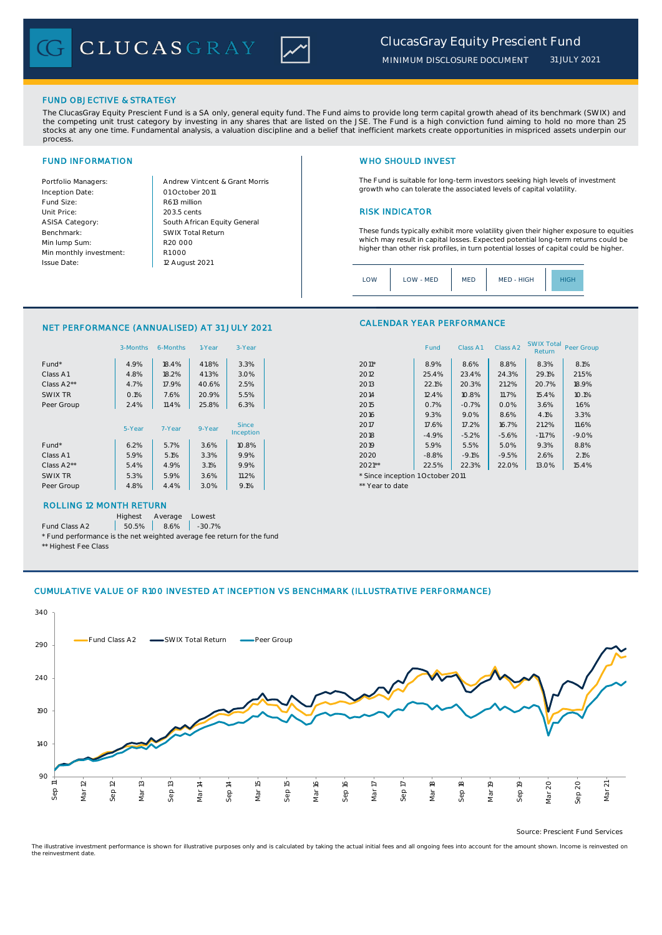CLUCASGRAY



FUND OBJECTIVE & STRATEGY

The ClucasGray Equity Prescient Fund is a SA only, general equity fund. The Fund aims to provide long term capital growth ahead of its benchmark (SWIX) and<br>the competing unit trust category by investing in any shares that stocks at any one time. Fundamental analysis, a valuation discipline and a belief that inefficient markets create opportunities in mispriced assets underpin our process.

Inception Date: Fund Size: and Size: R613 million ASISA Category: Benchmark: Min lump Sum: Min monthly investment: Issue Date:

Portfolio Managers: <br>Andrew Vintcent & Grant Morris Unit Price: RISK INDICATOR South African Equity General 203.5 cents R1 000 01 October 2011 12 August 2021 R20 000 SWIX Total Return

# FUND INFORMATION NETWORK IN THE SERVICE OF THE SERVICE OF THE WHO SHOULD INVEST

The Fund is suitable for long-term investors seeking high levels of investment growth who can tolerate the associated levels of capital volatility.

These funds typically exhibit more volatility given their higher exposure to equities which may result in capital losses. Expected potential long-term returns could be higher than other risk profiles, in turn potential losses of capital could be higher.

Class A1 Class A2 SWIX Total Peer Group

| MED - HIGH<br>LOW<br><b>MED</b><br>LOW - MED<br>IIGF |
|------------------------------------------------------|
|------------------------------------------------------|

### CALENDAR YEAR PERFORMANCE NET PERFORMANCE (ANNUALISED) AT 31 JULY 2021

|            | 3-Months | 6-Months | 1-Year | 3-Year                    |                                  | Fund    | Class A1 | Class A <sub>2</sub> | <b>SWIX Total</b><br>Return | Peer Gro |
|------------|----------|----------|--------|---------------------------|----------------------------------|---------|----------|----------------------|-----------------------------|----------|
| $Fund*$    | 4.9%     | 18.4%    | 41.8%  | 3.3%                      | $2011*$                          | 8.9%    | 8.6%     | 8.8%                 | 8.3%                        | 8.1%     |
| Class A1   | 4.8%     | 18.2%    | 41.3%  | 3.0%                      | 2012                             | 25.4%   | 23.4%    | 24.3%                | 29.1%                       | 21.5%    |
| Class A2** | 4.7%     | 17.9%    | 40.6%  | 2.5%                      | 2013                             | 22.1%   | 20.3%    | 21.2%                | 20.7%                       | 18.9%    |
| SWIX TR    | O.1%     | 7.6%     | 20.9%  | 5.5%                      | 2014                             | 12.4%   | 10.8%    | 11.7%                | 15.4%                       | 10.1%    |
| Peer Group | 2.4%     | 11.4%    | 25.8%  | 6.3%                      | 2015                             | 0.7%    | $-0.7%$  | 0.0%                 | 3.6%                        | 1.6%     |
|            |          |          |        |                           | 2016                             | 9.3%    | 9.0%     | 8.6%                 | 4.1%                        | 3.3%     |
|            | 5-Year   | 7-Year   | 9-Year | <b>Since</b><br>Inception | 2017                             | 17.6%   | 17.2%    | 16.7%                | 21.2%                       | 11.6%    |
|            |          |          |        |                           | 2018                             | $-4.9%$ | $-5.2%$  | $-5.6%$              | $-11.7%$                    | $-9.0%$  |
| $Fund*$    | 6.2%     | 5.7%     | 3.6%   | 10.8%                     | 2019                             | 5.9%    | 5.5%     | 5.0%                 | 9.3%                        | 8.8%     |
| Class A1   | 5.9%     | 5.1%     | 3.3%   | 9.9%                      | 2020                             | $-8.8%$ | $-9.1%$  | $-9.5%$              | 2.6%                        | 2.1%     |
| Class A2** | 5.4%     | 4.9%     | 3.1%   | 9.9%                      | $2021**$                         | 22.5%   | 22.3%    | 22.0%                | 13.0%                       | 15.4%    |
| SWIX TR    | 5.3%     | 5.9%     | 3.6%   | 11.2%                     | * Since inception 1 October 2011 |         |          |                      |                             |          |
| Peer Group | 4.8%     | 4.4%     | 3.0%   | 9.1%                      | ** Year to date                  |         |          |                      |                             |          |
|            |          |          |        |                           |                                  |         |          |                      |                             |          |

# ROLLING 12 MONTH RETURN

Highest Average Lowest

Fund Class A2  $\begin{array}{|c|c|c|c|c|} \hline \text{50.5\%} & \text{8.6\%} & \text{-30.7\%} \hline \end{array}$ 

\* Fund performance is the net weighted average fee return for the fund \*\* Highest Fee Class

## CUMULATIVE VALUE OF R100 INVESTED AT INCEPTION VS BENCHMARK (ILLUSTRATIVE PERFORMANCE)



Source: Prescient Fund Services

The illustrative investment performance is shown for illustrative purposes only and is calculated by taking the actual initial fees and all ongoing fees into account for the amount shown. Income is reinvested on the reinvestment date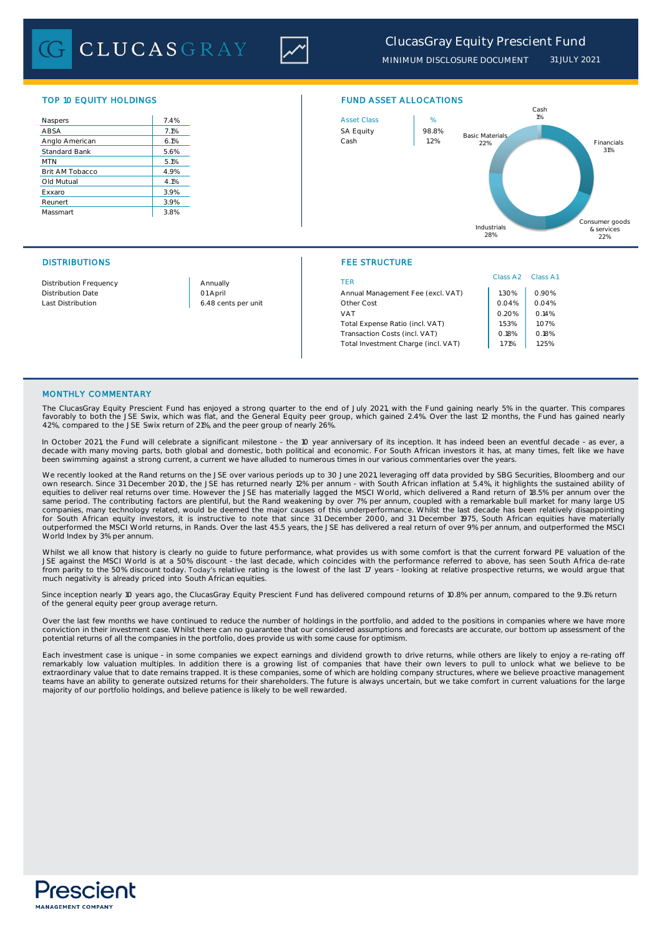**CLUCASGRAY** 



*MINIMUM DISCLOSURE DOCUMENT 31 JULY 2021*

| Naspers              | 7.4% |
|----------------------|------|
| ABSA                 | 7.1% |
| Anglo American       | 6.1% |
| <b>Standard Bank</b> | 5.6% |
| <b>MTN</b>           | 5.1% |
| Brit AM Tobacco      | 4.9% |
| Old Mutual           | 4.1% |
| Exxaro               | 3.9% |
| Reunert              | 3.9% |
| Massmart             | 3.8% |
|                      |      |



# DISTRIBUTIONS FEE STRUCTURE

|                                           |                     |                                     | Class A <sub>2</sub> | Class A |
|-------------------------------------------|---------------------|-------------------------------------|----------------------|---------|
| <b>Distribution Frequency</b><br>Annually |                     | TFR                                 |                      |         |
| <b>Distribution Date</b>                  | 01 April            | Annual Management Fee (excl. VAT)   | .30%                 | 0.90%   |
| Last Distribution                         | 6.48 cents per unit | Other Cost                          | 0.04%                | 0.04%   |
|                                           |                     | VAT                                 | 0.20%                | 0.14%   |
|                                           |                     | Total Expense Ratio (incl. VAT)     | .53%                 | 1.07%   |
|                                           |                     | Transaction Costs (incl. VAT)       | 0.18%                | 0.18%   |
|                                           |                     | Total Investment Charge (incl. VAT) | l.71%                | 1.25%   |
|                                           |                     |                                     |                      |         |

## MONTHLY COMMENTARY

The ClucasGray Equity Prescient Fund has enjoyed a strong quarter to the end of July 2021, with the Fund gaining nearly 5% in the quarter. This compares favorably to both the JSE Swix, which was flat, and the General Equity peer group, which gained 2.4%. Over the last 12 months, the Fund has gained nearly 42%, compared to the JSE Swix return of 21%, and the peer group of nearly 26%.

In October 2021, the Fund will celebrate a significant milestone - the 10 year anniversary of its inception. It has indeed been an eventful decade - as ever, a decade with many moving parts, both global and domestic, both political and economic. For South African investors it has, at many times, felt like we have been swimming against a strong current, a current we have alluded to numerous times in our various commentaries over the years.

We recently looked at the Rand returns on the JSE over various periods up to 30 June 2021, leveraging off data provided by SBG Securities, Bloomberg and our own research. Since 31 December 2010, the JSE has returned nearly 12% per annum - with South African inflation at 5.4%, it highlights the sustained ability of<br>equities to deliver real returns over time. However the JSE has same period. The contributing factors are plentiful, but the Rand weakening by over 7% per annum, coupled with a remarkable bull market for many large US companies, many technology related, would be deemed the major causes of this underperformance. Whilst the last decade has been relatively disappointing<br>for South African equity investors, it is instructive to note that sin outperformed the MSCI World returns, in Rands. Over the last 45.5 years, the JSE has delivered a real return of over 9% per annum, and outperformed the MSCI World Index by 3% per annum.

Whilst we all know that history is clearly no guide to future performance, what provides us with some comfort is that the current forward PE valuation of the<br>JSE against the MSCI World is at a 50% discount - the last decad from parity to the 50% discount today. Today's relative rating is the lowest of the last 17 years - looking at relative prospective returns, we would argue that much negativity is already priced into South African equities.

Since inception nearly 10 years ago, the ClucasGray Equity Prescient Fund has delivered compound returns of 10.8% per annum, compared to the 9.1% return of the general equity peer group average return.

Over the last few months we have continued to reduce the number of holdings in the portfolio, and added to the positions in companies where we have more conviction in their investment case. Whilst there can no guarantee that our considered assumptions and forecasts are accurate, our bottom up assessment of the potential returns of all the companies in the portfolio, does provide us with some cause for optimism.

Each investment case is unique - in some companies we expect earnings and dividend growth to drive returns, while others are likely to enjoy a re-rating off remarkably low valuation multiples. In addition there is a growing list of companies that have their own levers to pull to unlock what we believe to be extraordinary value that to date remains trapped. It is these companies, some of which are holding company structures, where we believe proactive management teams have an ability to generate outsized returns for their shareholders. The future is always uncertain, but we take comfort in current valuations for the large majority of our portfolio holdings, and believe patience is likely to be well rewarded.